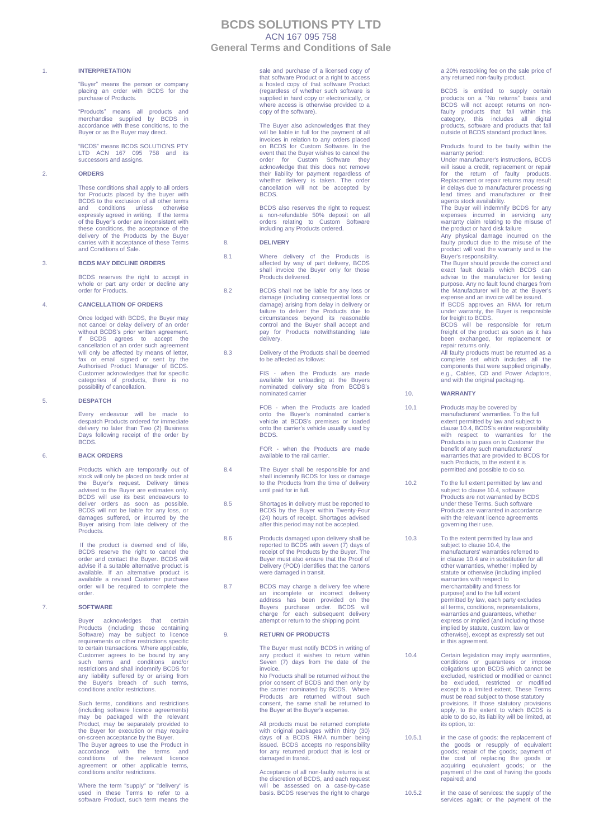# **BCDS SOLUTIONS PTY LTD** ACN 167 095 758

**General Terms and Conditions of Sale**

### 1. **INTERPRETATION**

"Buyer" means the person or company placing an order with BCDS for the purchase of Products.

"Products" means all products and merchandise supplied by BCDS in accordance with these conditions, to the Buyer or as the Buyer may direct.

"BCDS" means BCDS SOLUTIONS PTY LTD ACN 167 095 758 and its successors and assigns.

# 2. **ORDERS**

These conditions shall apply to all orders for Products placed by the buyer with BCDS to the exclusion of all other terms and conditions unless otherwise expressly agreed in writing. If the terms of the Buyer's order are inconsistent with these conditions, the acceptance of the delivery of the Products by the Buyer carries with it acceptance of these Terms and Conditions of Sale.

# 3. **BCDS MAY DECLINE ORDERS**

BCDS reserves the right to accept in whole or part any order or decline any order for Products.

### 4. **CANCELLATION OF ORDERS**

Once lodged with BCDS, the Buyer may not cancel or delay delivery of an order without BCDS's prior written agreement. If BCDS agrees to accept the cancellation of an order such agreement will only be affected by means of letter, fax or email signed or sent by the Authorised Product Manager of BCDS. Customer acknowledges that for specific categories of products, there is no possibility of cancellation.

# 5. **DESPATCH**

Every endeavour will be made to despatch Products ordered for immediate delivery no later than Two (2) Business Days following receipt of the order by BCDS.

### 6. **BACK ORDERS**

Products which are temporarily out of stock will only be placed on back order at the Buyer's request. Delivery times advised to the Buyer are estimates only. BCDS will use its best endeavours to deliver orders as soon as possible.<br>BCDS will not be liable for any loss, or<br>damages suffered, or incurred by the<br>Buyer arising from late delivery of the Products.

If the product is deemed end of life, BCDS reserve the right to cancel the order and contact the Buyer. BCDS will advise if a suitable alternative product is available. If an alternative product is available a revised Customer purchase order will be required to complete the order.

#### 7. **SOFTWARE**

Buyer acknowledges that certain Products (including those containing Software) may be subject to licence requirements or other restrictions specific to certain transactions. Where applicable, Customer agrees to be bound by any such terms and conditions and/or restrictions and shall indemnify BCDS for any liability suffered by or arising from the Buyer's breach of such terms, conditions and/or restrictions.

Such terms, conditions and restrictions (including software licence agreements) may be packaged with the relevant Product, may be separately provided to the Buyer for execution or may require on-screen acceptance by the Buyer. The Buyer agrees to use the Product in<br>
accordance with the terms and<br>
conditions of the relevant licence<br>
agreement or other applicable terms,<br>
conditions and/or restrictions.

Where the term "supply" or "delivery" is used in these Terms to refer to a software Product, such term means the

sale and purchase of a licensed copy of that software Product or a right to access a hosted copy of that software Product (regardless of whether such software is supplied in hard copy or electronically, or where access is otherwise provided to a copy of the software).

The Buyer also acknowledges that they will be liable in full for the payment of all invoices in relation to any orders placed on BCDS for Custom Software. In the event that the Buyer wishes to cancel the order for Custom Software they acknowledge that this does not remove their liability for payment regardless of whether delivery is taken. The order cancellation will not be accepted by BCDS.

BCDS also reserves the right to request a non-refundable 50% deposit on all orders relating to Custom Software including any Products ordered.

### 8. **DELIVERY**

- 8.1 Where delivery of the Products is affected by way of part delivery, BCDS shall invoice the Buyer only for those Products delivered.
- 8.2 BCDS shall not be liable for any loss or damage (including consequential loss or damage) arising from delay in delivery or failure to deliver the Products due to circumstances beyond its reasonable control and the Buyer shall accept and pay for Products notwithstanding late delivery.
- 8.3 Delivery of the Products shall be deemed to be affected as follows:

FIS - when the Products are made available for unloading at the Buyers nominated delivery site from BCDS's nominated carrier

FOB - when the Products are loaded onto the Buyer's nominated carrier's vehicle at BCDS's premises or loaded onto the carrier's vehicle usually used by BCDS.

FOR - when the Products are made available to the rail carrier.

- 8.4 The Buyer shall be responsible for and shall indemnify BCDS for loss or damage to the Products from the time of delivery until paid for in full.
- 8.5 Shortages in delivery must be reported to BCDS by the Buyer within Twenty-Four (24) hours of receipt. Shortages advised after this period may not be accepted.
- 8.6 Products damaged upon delivery shall be reported to BCDS with seven (7) days of receipt of the Products by the Buyer. The Buyer must also ensure that the Proof of Delivery (POD) identifies that the cartons were damaged in transit.
- 8.7 BCDS may charge a delivery fee where an incomplete or incorrect delivery address has been provided on the Buyers purchase order. BCDS will charge for each subsequent delivery attempt or return to the shipping point.

#### 9. **RETURN OF PRODUCTS**

The Buyer must notify BCDS in writing of any product it wishes to return within Seven (7) days from the date of the invoice.

No Products shall be returned without the prior consent of BCDS and then only by the carrier nominated by BCDS. Where Products are returned without such consent, the same shall be returned to the Buyer at the Buyer's expense.

All products must be returned complete with original packages within thirty (30) days of a BCDS RMA number being issued. BCDS accepts no responsibility for any returned product that is lost or damaged in transit.

Acceptance of all non-faulty returns is at the discretion of BCDS, and each request will be assessed on a case-by-case basis. BCDS reserves the right to charge a 20% restocking fee on the sale price of any returned non-faulty product.

BCDS is entitled to supply certain products on a "No returns" basis and BCDS will not accept returns on non-faulty products that fall within this category, this includes all digital products, software and products that fall outside of BCDS standard product lines.

Products found to be faulty within the

warranty period: Under manufacturer's instructions, BCDS will issue a credit, replacement or repair<br>for the return of faulty products.<br>Replacement or repair returns may result<br>in delays due to manufacturer processing lead times and manufacturer or their

agents stock availability. The Buyer will indemnify BCDS for any expenses incurred in servicing any<br>warranty claim relating to the misuse of<br>the product or hard disk failure<br>Any physical damage incurred on the<br>faulty product due to the misuse of the<br>product will void the warranty and is

Buyer's responsibility. The Buyer should provide the correct and exact fault details which BCDS can advise to the manufacturer for testing

purpose. Any no fault found charges from<br>the Manufacturer will be at the Buyer's<br>expense and an invoice will be issued.<br>If BCDS approves an RMA for return<br>under warranty, the Buyer is responsible<br>for freight to BCDS.<br>BCDS

freight of the product as soon as it has been exchanged, for replacement or

repair returns only. All faulty products must be returned as a complete set which includes all the components that were supplied originally, e.g., Cables, CD and Power Adaptors, and with the original packaging.

### 10. **WARRANTY**

- 10.1 Products may be covered by manufacturers' warranties. To the full extent permitted by law and subject to clause 10.4, BCDS's entire responsibility with respect to warranties for the Products is to pass on to Customer the benefit of any such manufacturers' warranties that are provided to BCDS for such Products, to the extent it is permitted and possible to do so.
- 10.2 To the full extent permitted by law and subject to clause 10.4, software Products are not warranted by BCDS under these Terms. Such software Products are warranted in accordance with the relevant licence agreements governing their use.
- 10.3 To the extent permitted by law and subject to clause 10.4, the manufacturers' warranties referred to in clause 10.4 are in substitution for all other warranties, whether implied by statute or otherwise (including implied warranties with respect to merchantability and fitness for purpose) and to the full extent permitted by law, each party excludes all terms, conditions, representations, warranties and guarantees, whether express or implied (and including those implied by statute, custom, law or otherwise), except as expressly set out in this agreement.

- 10.4 Certain legislation may imply warranties, conditions or guarantees or impose obligations upon BCDS which cannot be excluded, restricted or modified or cannot be excluded, restricted or modified except to a limited extent. These Terms must be read subject to those statutory provisions. If those statutory provisions apply, to the extent to which BCDS is able to do so, its liability will be limited, at its option, to:
- 10.5.1 in the case of goods: the replacement of the goods or resupply of equivalent goods; repair of the cost of replacing<br>the cost of replacing the goods or<br>acquiring equivalent goods; or the<br>payment of the cost of having the goods repaired; and

10.5.2 in the case of services: the supply of the services again; or the payment of the